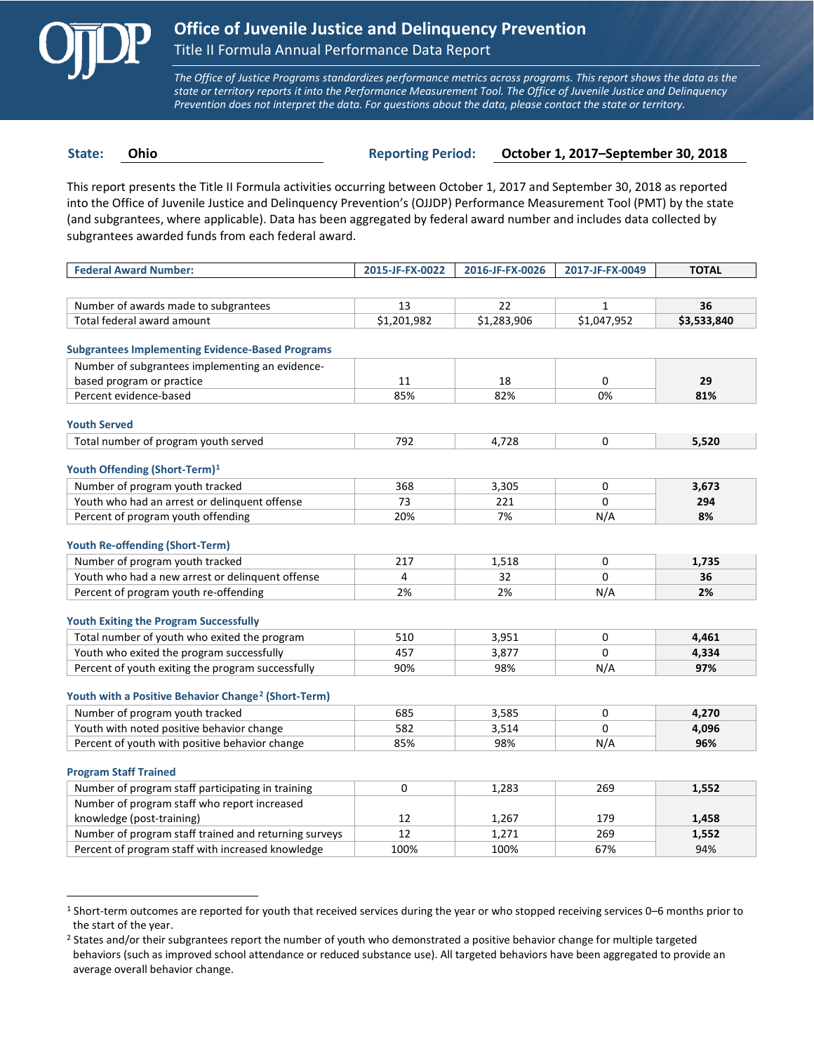

 $\overline{a}$ 

*The Office of Justice Programs standardizes performance metrics across programs. This report shows the data as the state or territory reports it into the Performance Measurement Tool. The Office of Juvenile Justice and Delinquency Prevention does not interpret the data. For questions about the data, please contact the state or territory.*

**State: Ohio Reporting Period: October 1, 2017–September 30, 2018**

This report presents the Title II Formula activities occurring between October 1, 2017 and September 30, 2018 as reported into the Office of Juvenile Justice and Delinquency Prevention's (OJJDP) Performance Measurement Tool (PMT) by the state (and subgrantees, where applicable). Data has been aggregated by federal award number and includes data collected by subgrantees awarded funds from each federal award.

| <b>Federal Award Number:</b>                                    | 2015-JF-FX-0022 | 2016-JF-FX-0026 | 2017-JF-FX-0049 | <b>TOTAL</b> |
|-----------------------------------------------------------------|-----------------|-----------------|-----------------|--------------|
|                                                                 |                 |                 |                 |              |
| Number of awards made to subgrantees                            | 13              | 22              | $\mathbf{1}$    | 36           |
| Total federal award amount                                      | \$1,201,982     | \$1,283,906     | \$1,047,952     | \$3,533,840  |
| <b>Subgrantees Implementing Evidence-Based Programs</b>         |                 |                 |                 |              |
| Number of subgrantees implementing an evidence-                 |                 |                 |                 |              |
|                                                                 | 11              | 18              | 0               | 29           |
| based program or practice<br>Percent evidence-based             | 85%             | 82%             | 0%              | 81%          |
|                                                                 |                 |                 |                 |              |
| <b>Youth Served</b>                                             |                 |                 |                 |              |
| Total number of program youth served                            | 792             | 4,728           | 0               | 5,520        |
|                                                                 |                 |                 |                 |              |
| Youth Offending (Short-Term) <sup>1</sup>                       |                 |                 |                 |              |
| Number of program youth tracked                                 | 368             | 3,305           | 0               | 3,673        |
| Youth who had an arrest or delinguent offense                   | 73              | 221             | $\Omega$        | 294          |
| Percent of program youth offending                              | 20%             | 7%              | N/A             | 8%           |
| <b>Youth Re-offending (Short-Term)</b>                          |                 |                 |                 |              |
| Number of program youth tracked                                 | 217             | 1,518           | 0               | 1,735        |
| Youth who had a new arrest or delinguent offense                | 4               | 32              | 0               | 36           |
| Percent of program youth re-offending                           | 2%              | 2%              | N/A             | 2%           |
| <b>Youth Exiting the Program Successfully</b>                   |                 |                 |                 |              |
| Total number of youth who exited the program                    | 510             | 3,951           | 0               | 4,461        |
| Youth who exited the program successfully                       | 457             | 3,877           | $\Omega$        | 4,334        |
| Percent of youth exiting the program successfully               | 90%             | 98%             | N/A             | 97%          |
|                                                                 |                 |                 |                 |              |
| Youth with a Positive Behavior Change <sup>2</sup> (Short-Term) |                 |                 |                 |              |
| Number of program youth tracked                                 | 685             | 3,585           | 0               | 4,270        |
| Youth with noted positive behavior change                       | 582             | 3,514           | 0               | 4,096        |
| Percent of youth with positive behavior change                  | 85%             | 98%             | N/A             | 96%          |
| <b>Program Staff Trained</b>                                    |                 |                 |                 |              |
| Number of program staff participating in training               | 0               | 1,283           | 269             | 1,552        |
| Number of program staff who report increased                    |                 |                 |                 |              |
| knowledge (post-training)                                       | 12              | 1,267           | 179             | 1,458        |
| Number of program staff trained and returning surveys           | 12              | 1,271           | 269             | 1,552        |
| Percent of program staff with increased knowledge               | 100%            | 100%            | 67%             | 94%          |
|                                                                 |                 |                 |                 |              |

<span id="page-0-0"></span><sup>1</sup> Short-term outcomes are reported for youth that received services during the year or who stopped receiving services 0–6 months prior to the start of the year.

<span id="page-0-1"></span><sup>&</sup>lt;sup>2</sup> States and/or their subgrantees report the number of youth who demonstrated a positive behavior change for multiple targeted behaviors (such as improved school attendance or reduced substance use). All targeted behaviors have been aggregated to provide an average overall behavior change.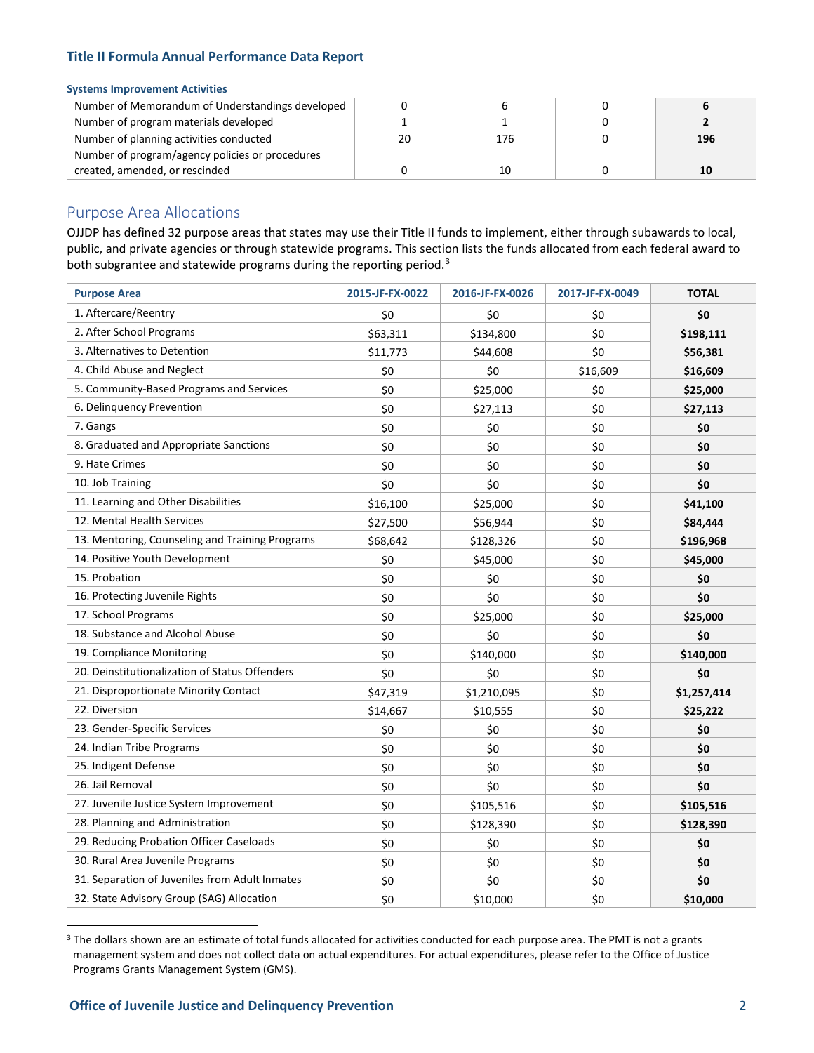## **Title II Formula Annual Performance Data Report**

## **Systems Improvement Activities**

| Number of Memorandum of Understandings developed |    |     |     |
|--------------------------------------------------|----|-----|-----|
| Number of program materials developed            |    |     |     |
| Number of planning activities conducted          | 20 | 176 | 196 |
| Number of program/agency policies or procedures  |    |     |     |
| created, amended, or rescinded                   |    |     |     |

# Purpose Area Allocations

OJJDP has defined 32 purpose areas that states may use their Title II funds to implement, either through subawards to local, public, and private agencies or through statewide programs. This section lists the funds allocated from each federal award to both subgrantee and statewide programs during the reporting period.<sup>[3](#page-1-0)</sup>

| <b>Purpose Area</b>                             | 2015-JF-FX-0022 | 2016-JF-FX-0026 | 2017-JF-FX-0049 | <b>TOTAL</b> |
|-------------------------------------------------|-----------------|-----------------|-----------------|--------------|
| 1. Aftercare/Reentry                            | \$0             | \$0             | \$0             | \$0          |
| 2. After School Programs                        | \$63,311        | \$134,800       | \$0             | \$198,111    |
| 3. Alternatives to Detention                    | \$11,773        | \$44,608        | \$0             | \$56,381     |
| 4. Child Abuse and Neglect                      | \$0             | \$0             | \$16,609        | \$16,609     |
| 5. Community-Based Programs and Services        | \$0             | \$25,000        | \$0             | \$25,000     |
| 6. Delinguency Prevention                       | \$0             | \$27,113        | \$0             | \$27,113     |
| 7. Gangs                                        | \$0             | \$0             | \$0             | \$0          |
| 8. Graduated and Appropriate Sanctions          | \$0             | \$0             | \$0             | \$0          |
| 9. Hate Crimes                                  | \$0             | \$0             | \$0             | \$0          |
| 10. Job Training                                | \$0             | \$0             | \$0             | \$0          |
| 11. Learning and Other Disabilities             | \$16,100        | \$25,000        | \$0             | \$41,100     |
| 12. Mental Health Services                      | \$27,500        | \$56,944        | \$0             | \$84,444     |
| 13. Mentoring, Counseling and Training Programs | \$68,642        | \$128,326       | \$0             | \$196,968    |
| 14. Positive Youth Development                  | \$0             | \$45,000        | \$0             | \$45,000     |
| 15. Probation                                   | \$0             | \$0             | \$0             | \$0          |
| 16. Protecting Juvenile Rights                  | \$0             | \$0             | \$0             | \$0          |
| 17. School Programs                             | \$0             | \$25,000        | \$0             | \$25,000     |
| 18. Substance and Alcohol Abuse                 | \$0             | \$0             | \$0             | \$0          |
| 19. Compliance Monitoring                       | \$0             | \$140,000       | \$0             | \$140,000    |
| 20. Deinstitutionalization of Status Offenders  | \$0             | \$0             | \$0             | \$0          |
| 21. Disproportionate Minority Contact           | \$47,319        | \$1,210,095     | \$0             | \$1,257,414  |
| 22. Diversion                                   | \$14,667        | \$10,555        | \$0             | \$25,222     |
| 23. Gender-Specific Services                    | \$0             | \$0             | \$0             | \$0          |
| 24. Indian Tribe Programs                       | \$0             | \$0             | \$0             | \$0          |
| 25. Indigent Defense                            | \$0             | \$0             | \$0             | \$0          |
| 26. Jail Removal                                | \$0             | \$0             | \$0             | \$0          |
| 27. Juvenile Justice System Improvement         | \$0             | \$105,516       | \$0             | \$105,516    |
| 28. Planning and Administration                 | \$0             | \$128,390       | \$0             | \$128,390    |
| 29. Reducing Probation Officer Caseloads        | \$0             | \$0             | \$0             | \$0          |
| 30. Rural Area Juvenile Programs                | \$0             | \$0             | \$0             | \$0          |
| 31. Separation of Juveniles from Adult Inmates  | \$0             | \$0             | \$0             | \$0          |
| 32. State Advisory Group (SAG) Allocation       | \$0             | \$10,000        | \$0             | \$10,000     |

<span id="page-1-0"></span><sup>&</sup>lt;sup>3</sup> The dollars shown are an estimate of total funds allocated for activities conducted for each purpose area. The PMT is not a grants management system and does not collect data on actual expenditures. For actual expenditures, please refer to the Office of Justice Programs Grants Management System (GMS).

 $\overline{a}$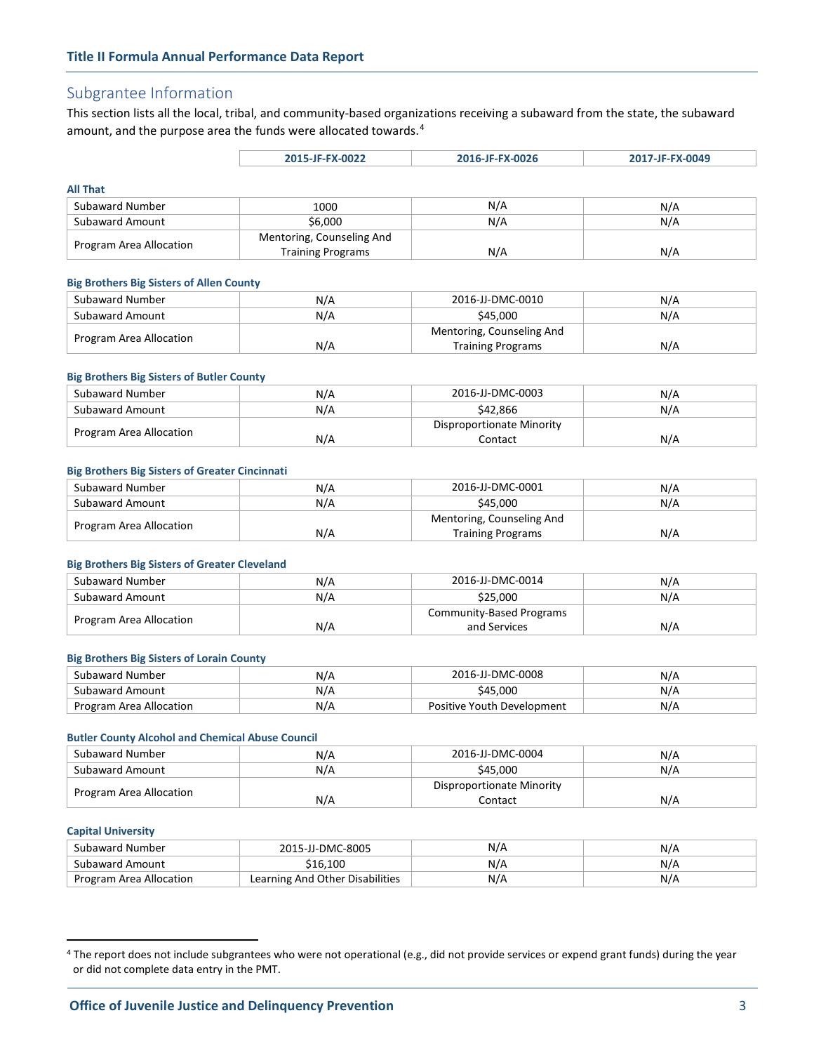# Subgrantee Information

This section lists all the local, tribal, and community-based organizations receiving a subaward from the state, the subaward amount, and the purpose area the funds were allocated towards.<sup>[4](#page-2-0)</sup>

| 2015-JF-FX-0022 | 2016-JF-FX-0026 | 2017-JF-FX-0049 |
|-----------------|-----------------|-----------------|
|                 |                 |                 |

## **All That**

| <i>FULL</i> LINE        |                           |     |     |
|-------------------------|---------------------------|-----|-----|
| Subaward Number         | 1000                      | N/A | N/A |
| Subaward Amount         | \$6,000                   | N/A | N/A |
| Program Area Allocation | Mentoring, Counseling And |     |     |
|                         | <b>Training Programs</b>  | N/A | N/A |

## **Big Brothers Big Sisters of Allen County**

| Subaward Number         | N/A | 2016-JJ-DMC-0010          | N/A |
|-------------------------|-----|---------------------------|-----|
| Subaward Amount         | N/A | \$45,000                  | N/A |
| Program Area Allocation |     | Mentoring, Counseling And |     |
|                         | N/A | <b>Training Programs</b>  | N/A |

## **Big Brothers Big Sisters of Butler County**

| Subaward Number         | N/A | 2016-JJ-DMC-0003          | N/A |
|-------------------------|-----|---------------------------|-----|
| Subaward Amount         | N/A | \$42.866                  | N/A |
| Program Area Allocation |     | Disproportionate Minority |     |
|                         | N/A | Contact                   | N/A |

## **Big Brothers Big Sisters of Greater Cincinnati**

| Subaward Number         | N/A | 2016-JJ-DMC-0001          | N/A |
|-------------------------|-----|---------------------------|-----|
| Subaward Amount         | N/A | \$45.000                  | N/A |
| Program Area Allocation |     | Mentoring, Counseling And |     |
|                         | N/A | <b>Training Programs</b>  | N/A |

#### **Big Brothers Big Sisters of Greater Cleveland**

| Subaward Number         | N/A | 2016-JJ-DMC-0014         | N/A |
|-------------------------|-----|--------------------------|-----|
| Subaward Amount         | N/A | \$25,000                 | N/A |
|                         |     | Community-Based Programs |     |
| Program Area Allocation | N/A | and Services             | N/A |

## **Big Brothers Big Sisters of Lorain County**

| Subaward Number         | N/A | 2016-JJ-DMC-0008           | N/A |
|-------------------------|-----|----------------------------|-----|
| Subaward Amount         | N/A | \$45.000                   | N/A |
| Program Area Allocation | N/A | Positive Youth Development | N/F |

#### **Butler County Alcohol and Chemical Abuse Council**

| Subaward Number         | N/A | 2016-JJ-DMC-0004          | N/A |
|-------------------------|-----|---------------------------|-----|
| Subaward Amount         | N/A | \$45.000                  | N/A |
|                         |     | Disproportionate Minority |     |
| Program Area Allocation | N/A | Contact                   | N/A |

#### **Capital University**

 $\overline{a}$ 

| Subaward Number         | 2015-JJ-DMC-8005                | N/A | N/A |
|-------------------------|---------------------------------|-----|-----|
| Subaward Amount         | 16.100ء                         | N/A | N/A |
| Program Area Allocation | Learning And Other Disabilities | N/A | N/A |

<span id="page-2-0"></span><sup>4</sup> The report does not include subgrantees who were not operational (e.g., did not provide services or expend grant funds) during the year or did not complete data entry in the PMT.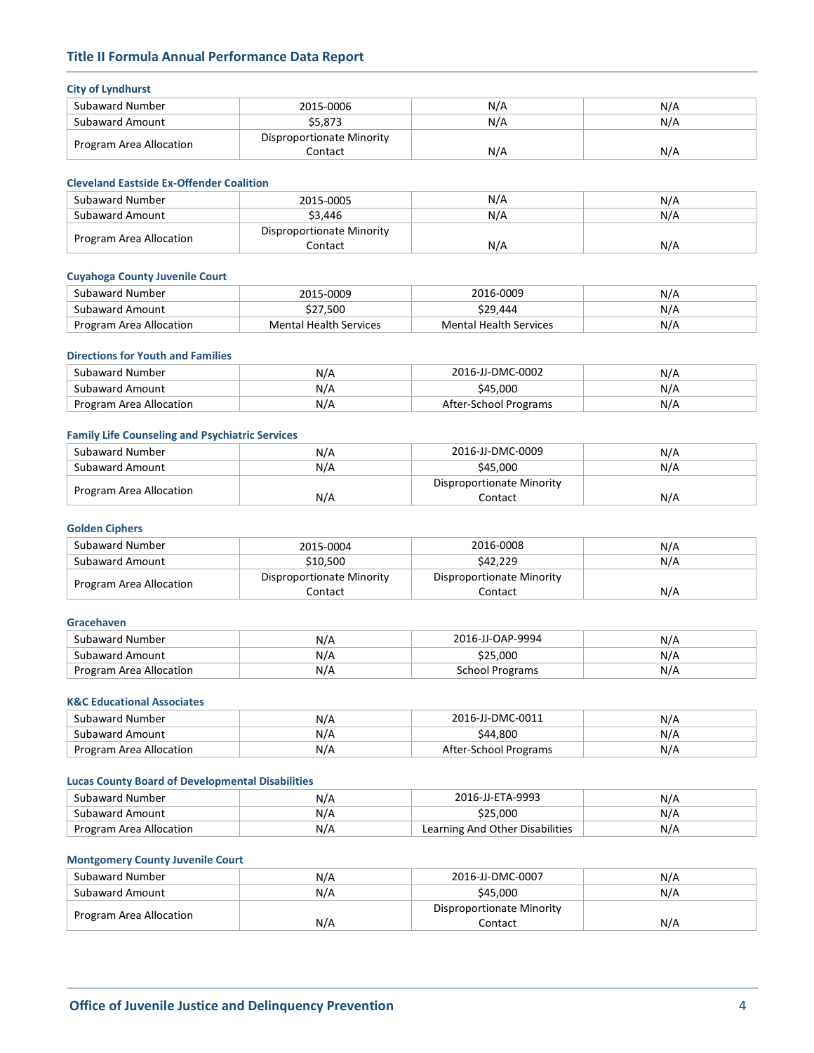## **Title II Formula Annual Performance Data Report**

## **City of Lyndhurst**

| ___________________     |                           |     |     |
|-------------------------|---------------------------|-----|-----|
| Subaward Number         | 2015-0006                 | N/A | N/A |
| Subaward Amount         | \$5.873                   | N/A | N/A |
| Program Area Allocation | Disproportionate Minority |     |     |
|                         | Contact                   | N/A | N/A |

## **Cleveland Eastside Ex-Offender Coalition**

| Subaward Number         | 2015-0005                 | N/A | N/A |
|-------------------------|---------------------------|-----|-----|
| Subaward Amount         | \$3.446                   | N/A | N/A |
|                         | Disproportionate Minority |     |     |
| Program Area Allocation | Contact                   | N/A | N/A |

## **Cuyahoga County Juvenile Court**

| Subaward Number         | 2015-0009                     | 2016-0009              | N/A |
|-------------------------|-------------------------------|------------------------|-----|
| Subaward Amount         | \$27,500                      | \$29.444               | N/A |
| Program Area Allocation | <b>Mental Health Services</b> | Mental Health Services | N/A |

## **Directions for Youth and Families**

| Subaward Number         | N/A | 2016-JJ-DMC-0002      | N/A |
|-------------------------|-----|-----------------------|-----|
| Subaward Amount         | N/A | \$45,000              | N/A |
| Program Area Allocation | N/A | After-School Programs | N/A |

## **Family Life Counseling and Psychiatric Services**

| Subaward Number         | N/A | 2016-JJ-DMC-0009          | N/A |
|-------------------------|-----|---------------------------|-----|
| Subaward Amount         | N/A | \$45.000                  | N/A |
| Program Area Allocation |     | Disproportionate Minority |     |
|                         | N/A | Contact                   | N/A |

## **Golden Ciphers**

| Subaward Number         | 2015-0004                 | 2016-0008                 | N/A |
|-------------------------|---------------------------|---------------------------|-----|
| Subaward Amount         | \$10,500                  | \$42,229                  | N/A |
| Program Area Allocation | Disproportionate Minority | Disproportionate Minority |     |
|                         | Contact                   | Contact                   | N/A |

## **Gracehaven**

| Subaward Number         | N/A | 2016-JJ-OAP-9994 | N/A |
|-------------------------|-----|------------------|-----|
| Subaward Amount         | N/A | \$25.000         | N/A |
| Program Area Allocation | N/A | School Programs  | N/A |

## **K&C Educational Associates**

| Subaward Number         | N/A | 2016-JJ-DMC-0011      | N/F |
|-------------------------|-----|-----------------------|-----|
| Subaward Amount         | N/A | \$44.800              | N/F |
| Program Area Allocation | N/A | After-School Programs | N/F |

## **Lucas County Board of Developmental Disabilities**

| Subaward Number         | N/A | 2016-JJ-ETA-9993                | N/A  |
|-------------------------|-----|---------------------------------|------|
| Subaward Amount         | N/A | \$25.000                        | N7 P |
| Program Area Allocation | N/A | Learning And Other Disabilities | N/A  |

## **Montgomery County Juvenile Court**

| Subaward Number         | N/A | 2016-JJ-DMC-0007          | N/A |
|-------------------------|-----|---------------------------|-----|
| Subaward Amount         | N/A | \$45,000                  | N/A |
|                         |     | Disproportionate Minority |     |
| Program Area Allocation | N/A | Contact                   | N/A |